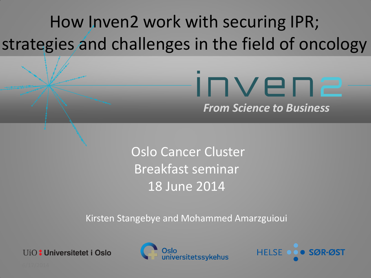## How Inven2 work with securing IPR; strategies and challenges in the field of oncology

### Invena *From Science to Business*

Oslo Cancer Cluster Breakfast seminar 18 June 2014

Kirsten Stangebye and Mohammed Amarzguioui

**UiO:** Universitetet i Oslo



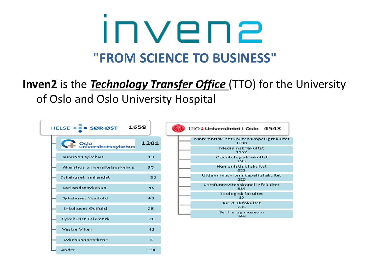## INVEN2 **"FROM SCIENCE TO BUSINESS"**

### **Inven2** is the *Technology Transfer Office* (TTO) for the University of Oslo and Oslo University Hospital

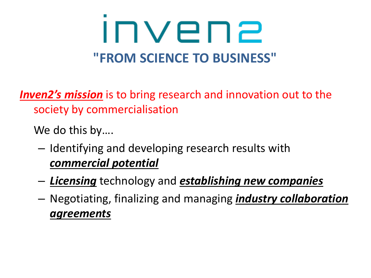# INVEN2 **"FROM SCIENCE TO BUSINESS"**

*Inven2's mission* is to bring research and innovation out to the society by commercialisation

We do this by….

- Identifying and developing research results with *commercial potential*
- *Licensing* technology and *establishing new companies*
- Negotiating, finalizing and managing *industry collaboration agreements*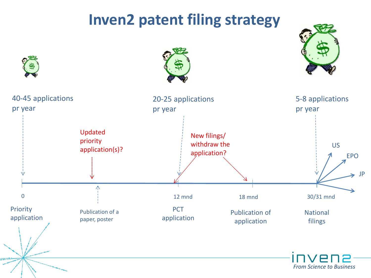### **Inven2 patent filing strategy**

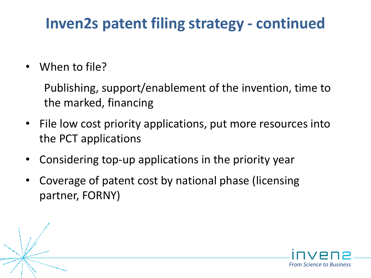### **Inven2s patent filing strategy - continued**

• When to file?

Publishing, support/enablement of the invention, time to the marked, financing

- File low cost priority applications, put more resources into the PCT applications
- Considering top-up applications in the priority year
- Coverage of patent cost by national phase (licensing partner, FORNY)

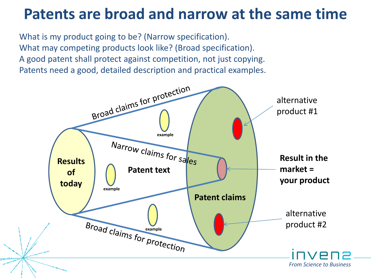### **Patents are broad and narrow at the same time**

What is my product going to be? (Narrow specification). What may competing products look like? (Broad specification). A good patent shall protect against competition, not just copying. Patents need a good, detailed description and practical examples.

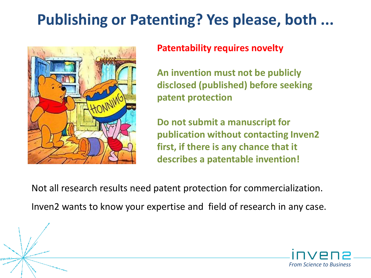### **Publishing or Patenting? Yes please, both ...**



### **Patentability requires novelty**

**An invention must not be publicly disclosed (published) before seeking patent protection**

**Do not submit a manuscript for publication without contacting Inven2 first, if there is any chance that it describes a patentable invention!**

Not all research results need patent protection for commercialization. Inven2 wants to know your expertise and field of research in any case.

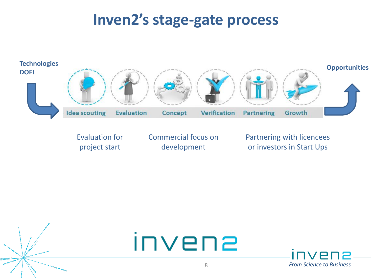### **Inven2's stage-gate process**



Evaluation for project start

Commercial focus on development

Partnering with licencees or investors in Start Ups



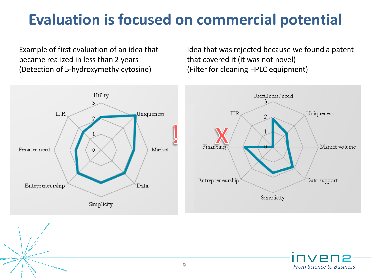### **Evaluation is focused on commercial potential**

Example of first evaluation of an idea that became realized in less than 2 years (Detection of 5-hydroxymethylcytosine)

Idea that was rejected because we found a patent that covered it (it was not novel) (Filter for cleaning HPLC equipment)



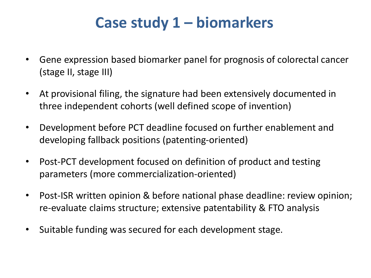### **Case study 1 – biomarkers**

- Gene expression based biomarker panel for prognosis of colorectal cancer (stage II, stage III)
- At provisional filing, the signature had been extensively documented in three independent cohorts (well defined scope of invention)
- Development before PCT deadline focused on further enablement and developing fallback positions (patenting-oriented)
- Post-PCT development focused on definition of product and testing parameters (more commercialization-oriented)
- Post-ISR written opinion & before national phase deadline: review opinion; re-evaluate claims structure; extensive patentability & FTO analysis
- Suitable funding was secured for each development stage.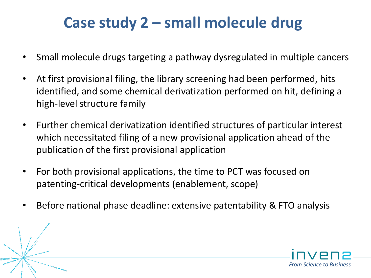### **Case study 2 – small molecule drug**

- Small molecule drugs targeting a pathway dysregulated in multiple cancers
- At first provisional filing, the library screening had been performed, hits identified, and some chemical derivatization performed on hit, defining a high-level structure family
- Further chemical derivatization identified structures of particular interest which necessitated filing of a new provisional application ahead of the publication of the first provisional application
- For both provisional applications, the time to PCT was focused on patenting-critical developments (enablement, scope)
- Before national phase deadline: extensive patentability & FTO analysis

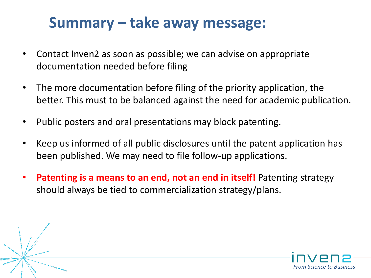### **Summary – take away message:**

- Contact Inven2 as soon as possible; we can advise on appropriate documentation needed before filing
- The more documentation before filing of the priority application, the better. This must to be balanced against the need for academic publication.
- Public posters and oral presentations may block patenting.
- Keep us informed of all public disclosures until the patent application has been published. We may need to file follow-up applications.
- **Patenting is a means to an end, not an end in itself!** Patenting strategy should always be tied to commercialization strategy/plans.